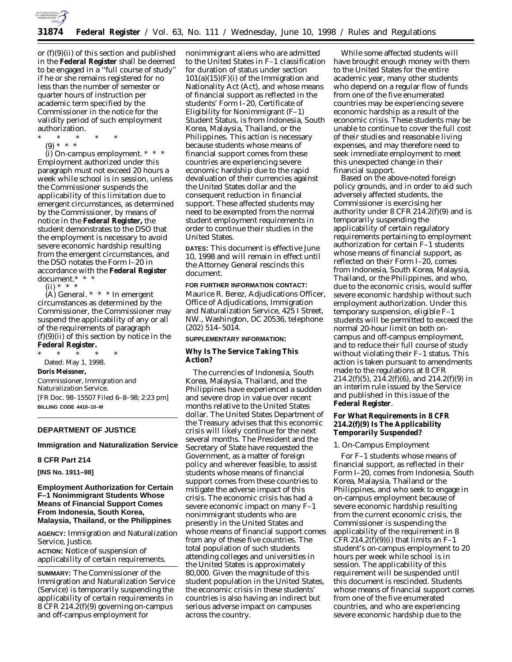

or (f)(9)(ii) of this section and published in the **Federal Register** shall be deemed to be engaged in a ''full course of study'' if he or she remains registered for no less than the number of semester or quarter hours of instruction per academic term specified by the Commissioner in the notice for the validity period of such employment authorization.

- \* \* \* \* \*
	- (9) \* \* \*

(i) *On-campus employment.* \* \* \* Employment authorized under this paragraph must not exceed 20 hours a week while school is in session, unless the Commissioner suspends the applicability of this limitation due to emergent circumstances, as determined by the Commissioner, by means of notice in the **Federal Register,** the student demonstrates to the DSO that the employment is necessary to avoid severe economic hardship resulting from the emergent circumstances, and the DSO notates the Form I–20 in accordance with the **Federal Register** document.\* \* \*

 $(ii) * * * *$ 

(A) *General.* \* \* \* In emergent circumstances as determined by the Commissioner, the Commissioner may suspend the applicability of any or all of the requirements of paragraph  $(f)(9)(ii)$  of this section by notice in the **Federal Register.**

\* \* \* \* \* Dated: May 1, 1998. **Doris Meissner,**

*Commissioner, Immigration and Naturalization Service.* [FR Doc. 98–15507 Filed 6–8–98; 2:23 pm] **BILLING CODE 4410–10–M**

#### **DEPARTMENT OF JUSTICE**

**Immigration and Naturalization Service**

#### **8 CFR Part 214**

**[INS No. 1911–98]**

### **Employment Authorization for Certain F–1 Nonimmigrant Students Whose Means of Financial Support Comes From Indonesia, South Korea, Malaysia, Thailand, or the Philippines**

**AGENCY:** Immigration and Naturalization Service, Justice.

**ACTION:** Notice of suspension of applicability of certain requirements.

**SUMMARY:** The Commissioner of the Immigration and Naturalization Service (Service) is temporarily suspending the applicability of certain requirements in 8 CFR 214.2(f)(9) governing on-campus and off-campus employment for

nonimmigrant aliens who are admitted to the United States in F–1 classification for duration of status under section  $101(a)(15)(F)(i)$  of the Immigration and Nationality Act (Act), and whose means of financial support as reflected in the students' Form I–20, Certificate of Eligibility for Nonimmigrant (F–1) Student Status, is from Indonesia, South Korea, Malaysia, Thailand, or the Philippines. This action is necessary because students whose means of financial support comes from these countries are experiencing severe economic hardship due to the rapid devaluation of their currencies against the United States dollar and the consequent reduction in financial support. These affected students may need to be exempted from the normal student employment requirements in order to continue their studies in the United States.

**DATES:** This document is effective June 10, 1998 and will remain in effect until the Attorney General rescinds this document.

#### **FOR FURTHER INFORMATION CONTACT:**

Maurice R. Berez, Adjudications Officer, Office of Adjudications, Immigration and Naturalization Service, 425 I Street, NW., Washington, DC 20536, telephone (202) 514–5014.

### **SUPPLEMENTARY INFORMATION:**

### **Why Is The Service Taking This Action?**

The currencies of Indonesia, South Korea, Malaysia, Thailand, and the Philippines have experienced a sudden and severe drop in value over recent months relative to the United States dollar. The United States Department of the Treasury advises that this economic crisis will likely continue for the next several months. The President and the Secretary of State have requested the Government, as a matter of foreign policy and wherever feasible, to assist students whose means of financial support comes from these countries to mitigate the adverse impact of this crisis. The economic crisis has had a severe economic impact on many F–1 nonimmigrant students who are presently in the United States and whose means of financial support comes from any of these five countries. The total population of such students attending colleges and universities in the United States is approximately 80,000. Given the magnitude of this student population in the United States, the economic crisis in these students' countries is also having an indirect but serious adverse impact on campuses across the country.

While some affected students will have brought enough money with them to the United States for the entire academic year, many other students who depend on a regular flow of funds from one of the five enumerated countries may be experiencing severe economic hardship as a result of the economic crisis. These students may be unable to continue to cover the full cost of their studies and reasonable living expenses, and may therefore need to seek immediate employment to meet this unexpected change in their financial support.

Based on the above-noted foreign policy grounds, and in order to aid such adversely affected students, the Commissioner is exercising her authority under 8 CFR 214.2(f)(9) and is temporarily suspending the applicability of certain regulatory requirements pertaining to employment authorization for certain F–1 students whose means of financial support, as reflected on their Form I–20, comes from Indonesia, South Korea, Malaysia, Thailand, or the Philippines, and who, due to the economic crisis, would suffer severe economic hardship without such employment authorization. Under this temporary suspension, eligible F–1 students will be permitted to exceed the normal 20-hour limit on both oncampus and off-campus employment, and to reduce their full course of study without violating their F–1 status. This action is taken pursuant to amendments made to the regulations at 8 CFR  $214.2(f)(5)$ ,  $214.2(f)(6)$ , and  $214.2(f)(9)$  in an interim rule issued by the Service and published in this issue of the **Federal Register**.

### **For What Requirements in 8 CFR 214.2(f)(9) Is The Applicability Temporarily Suspended?**

### *1. On-Campus Employment*

For F–1 students whose means of financial support, as reflected in their Form I–20, comes from Indonesia, South Korea, Malaysia, Thailand or the Philippines, and who seek to engage in on-campus employment because of severe economic hardship resulting from the current economic crisis, the Commissioner is suspending the applicability of the requirement in 8 CFR 214.2(f)(9)(i) that limits an  $F-1$ student's on-campus employment to 20 hours per week while school is in session. The applicability of this requirement will be suspended until this document is rescinded. Students whose means of financial support comes from one of the five enumerated countries, and who are experiencing severe economic hardship due to the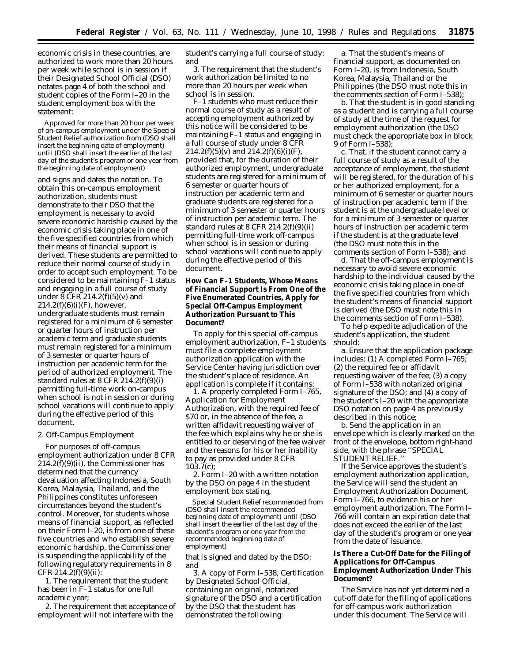economic crisis in these countries, are authorized to work more than 20 hours per week while school is in session if their Designated School Official (DSO) notates page 4 of both the school and student copies of the Form I–20 in the student employment box with the statement:

Approved for more than 20 hour per week of on-campus employment under the Special Student Relief authorization from (DSO shall insert the beginning date of employment) until (DSO shall insert the earlier of the last day of the student's program or one year from the beginning date of employment)

and signs and dates the notation. To obtain this on-campus employment authorization, students must demonstrate to their DSO that the employment is necessary to avoid severe economic hardship caused by the economic crisis taking place in one of the five specified countries from which their means of financial support is derived. These students are permitted to reduce their normal course of study in order to accept such employment. To be considered to be maintaining F–1 status and engaging in a full course of study under 8 CFR 214.2(f)(5)(v) and  $214.2(f)(6)(i)(F)$ , however, undergraduate students must remain registered for a minimum of 6 semester or quarter hours of instruction per academic term and graduate students must remain registered for a minimum of 3 semester or quarter hours of instruction per academic term for the period of authorized employment. The standard rules at 8 CFR 214.2(f)(9)(i) permitting full-time work on-campus when school is not in session or during school vacations will continue to apply during the effective period of this document.

### *2. Off-Campus Employment*

For purposes of off-campus employment authorization under 8 CFR  $214.2(f)(9)(ii)$ , the Commissioner has determined that the currency devaluation affecting Indonesia, South Korea, Malaysia, Thailand, and the Philippines constitutes unforeseen circumstances beyond the student's control. Moreover, for students whose means of financial support, as reflected on their Form I–20, is from one of these five countries and who establish severe economic hardship, the Commissioner is suspending the applicability of the following regulatory requirements in 8  $CFR 214.2(f)(9)(ii):$ 

1. The requirement that the student has been in F–1 status for one full academic year;

2. The requirement that acceptance of employment will not interfere with the

student's carrying a full course of study; and

3. The requirement that the student's work authorization be limited to no more than 20 hours per week when school is in session.

F–1 students who must reduce their normal course of study as a result of accepting employment authorized by this notice will be considered to be maintaining F–1 status and engaging in a full course of study under 8 CFR  $214.2(f)(5)(v)$  and  $214.2(f)(6)(i)(F)$ , provided that, for the duration of their authorized employment, undergraduate students are registered for a minimum of 6 semester or quarter hours of instruction per academic term and graduate students are registered for a minimum of 3 semester or quarter hours of instruction per academic term. The standard rules at 8 CFR 214.2(f)(9)(ii) permitting full-time work off-campus when school is in session or during school vacations will continue to apply during the effective period of this document.

### **How Can F–1 Students, Whose Means of Financial Support Is From One of the Five Enumerated Countries, Apply for Special Off-Campus Employment Authorization Pursuant to This Document?**

To apply for this special off-campus employment authorization, F–1 students must file a complete employment authorization application with the Service Center having jurisdiction over the student's place of residence. An application is complete if it contains:

1. A properly completed Form I–765, Application for Employment Authorization, with the required fee of \$70 or, in the absence of the fee, a written affidavit requesting waiver of the fee which explains why he or she is entitled to or deserving of the fee waiver and the reasons for his or her inability to pay as provided under 8 CFR 103.7(c);

2. Form I–20 with a written notation by the DSO on page 4 in the student employment box stating,

Special Student Relief recommended from (DSO shall insert the recommended beginning date of employment) until (DSO shall insert the earlier of the last day of the student's program or one year from the recommended beginning date of employment)

that is signed and dated by the DSO; and

3. A copy of Form I–538, Certification by Designated School Official, containing an original, notarized signature of the DSO and a certification by the DSO that the student has demonstrated the following:

a. That the student's means of financial support, as documented on Form I–20, is from Indonesia, South Korea, Malaysia, Thailand or the Philippines (the DSO must note this in the comments section of Form I–538);

b. That the student is in good standing as a student and is carrying a full course of study at the time of the request for employment authorization (the DSO must check the appropriate box in block 9 of Form I–538);

c. That, if the student cannot carry a full course of study as a result of the acceptance of employment, the student will be registered, for the duration of his or her authorized employment, for a minimum of 6 semester or quarter hours of instruction per academic term if the student is at the undergraduate level or for a minimum of 3 semester or quarter hours of instruction per academic term if the student is at the graduate level (the DSO must note this in the comments section of Form I–538); and

d. That the off-campus employment is necessary to avoid severe economic hardship to the individual caused by the economic crisis taking place in one of the five specified countries from which the student's means of financial support is derived (the DSO must note this in the comments section of Form I–538).

To help expedite adjudication of the student's application, the student should:

a. Ensure that the application package includes: (1) A completed Form I–765; (2) the required fee or affidavit requesting waiver of the fee; (3) a copy of Form I–538 with notarized original signature of the DSO; and (4) a copy of the student's I–20 with the appropriate DSO notation on page 4 as previously described in this notice;

b. Send the application in an envelope which is clearly marked on the front of the envelope, bottom right-hand side, with the phrase ''SPECIAL STUDENT RELIEF.''

If the Service approves the student's employment authorization application, the Service will send the student an Employment Authorization Document, Form I–766, to evidence his or her employment authorization. The Form I– 766 will contain an expiration date that does not exceed the earlier of the last day of the student's program or one year from the date of issuance.

# **Is There a Cut-Off Date for the Filing of Applications for Off-Campus Employment Authorization Under This Document?**

The Service has not yet determined a cut-off date for the filing of applications for off-campus work authorization under this document. The Service will